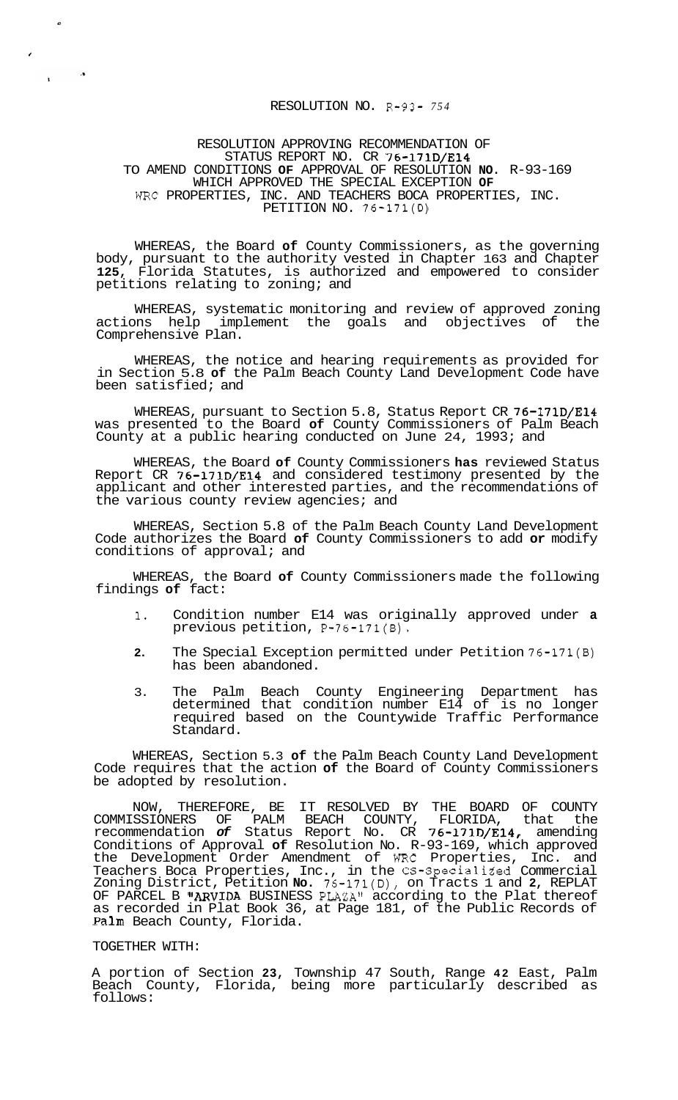## RESOLUTION NO. R-93- *754*

## RESOLUTION APPROVING RECOMMENDATION OF STATUS REPORT NO. CR 76-171D/E14 TO AMEND CONDITIONS **OF** APPROVAL OF RESOLUTION **NO.** R-93-169 WHICH APPROVED THE SPECIAL EXCEPTION **OF**  WRC PROPERTIES, INC. AND TEACHERS BOCA PROPERTIES, INC. PETITION NO. 76-171(D)

WHEREAS, the Board **of** County Commissioners, as the governing body, pursuant to the authority vested in Chapter 163 and Chapter **125,** Florida Statutes, is authorized and empowered to consider petitions relating to zoning; and

WHEREAS, systematic monitoring and review of approved zoning actions help implement the goals and objectives of the Comprehensive Plan.

WHEREAS, the notice and hearing requirements as provided for in Section 5.8 **of** the Palm Beach County Land Development Code have been satisfied; and

WHEREAS, pursuant to Section 5.8, Status Report CR 76-171D/E14 was presented to the Board **of** County Commissioners of Palm Beach County at a public hearing conducted on June 24, 1993; and

WHEREAS, the Board **of** County Commissioners **has** reviewed Status Report CR 76-171D/E14 and considered testimony presented by the applicant and other interested parties, and the recommendations of the various county review agencies; and

WHEREAS, Section 5.8 of the Palm Beach County Land Development Code authorizes the Board **of** County Commissioners to add **or** modify conditions of approval; and

WHEREAS, the Board **of** County Commissioners made the following findings **of** fact:

- **1.** Condition number E14 was originally approved under **a**  previous petition, P-76-171(B).
- **2.** The Special Exception permitted under Petition 76-171(B) has been abandoned.
- 3. The Palm Beach County Engineering Department has determined that condition number E14 of is no longer required based on the Countywide Traffic Performance Standard.

WHEREAS, Section 5.3 **of** the Palm Beach County Land Development Code requires that the action **of** the Board of County Commissioners be adopted by resolution.

NOW, THEREFORE, BE IT RESOLVED BY THE BOARD OF COUNTY COMMISSIONERS OF PALM BEACH COUNTY, FLORIDA, that the recommendation *of* Status Report No. CR 76-171D/E14, amending Conditions of Approval **of** Resolution No. R-93-169, which approved the Development Order Amendment of WRC Properties, Inc. and Teachers Boca Properties, Inc., in the CS-Specialiked Commercial Zoning District, Petition **No.** 76-171(D), on Tracts 1 and **2,** REPLAT OF PARCEL B "ARVIDA BUSINESS PLAZA" according to the Plat thereof as recorded in Plat Book 36, at Page 181, of the Public Records of Palm Beach County, Florida.

## TOGETHER WITH:

*e* 

 $\mathbf{r}$ 

 $\mathcal{A}$ 

A portion of Section **23,** Township 47 South, Range **42** East, Palm Beach County, Florida, being more particularly described as follows: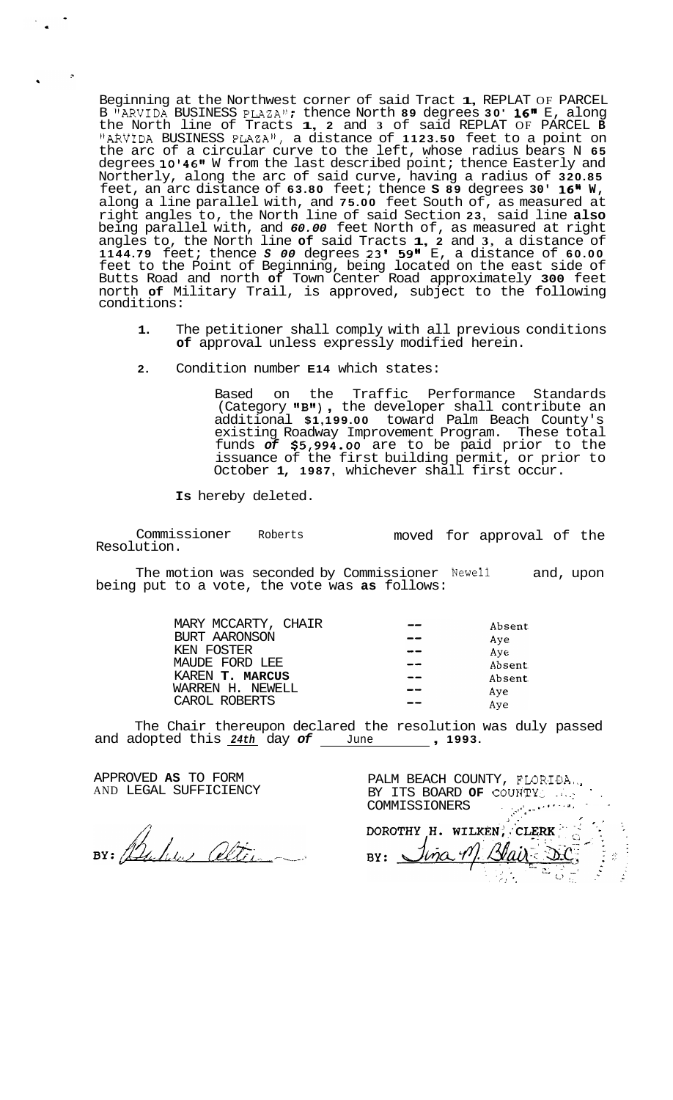Beginning at the Northwest corner of said Tract **1,** REPLAT OF PARCEL Beginning at the Northwest corner of said Tract **1,** REPLAT OF PARCEL<br>B "ARVIDA BUSINESS PLAZA"; thence North **89** degrees 30' 16" E, along the North line of Tracts **1, 2** and **3** of said REPLAT OF PARCEL **<sup>B</sup>** "ARVIDA BUSINESS PLAZA1', a distance of **1123.50** feet to a point on the arc of a circular curve to the left, whose radius bears N **65**  degrees **10'461r** W from the last described point; thence Easterly and Northerly, along the arc of said curve, having a radius of **320.85**  feet, an arc distance of **63.80** feet; thence **S 89** degrees **30' 16'' W,**  along a line parallel with, and **75.00** feet South of, as measured at right angles to, the North line of said Section **23,** said line **also**  being parallel with, and *60.00* feet North of, as measured at right angles to, the North line **of** said Tracts **1, 2** and **3,** a distance of **1144.79** feet; thence *S 00* degrees **23' 59"** E, a distance of **60.00**  feet to the Point of Beginning, being located on the east side of Butts Road and north **of** Town Center Road approximately **300** feet north **of** Military Trail, is approved, subject to the following conditions:

- **1.** The petitioner shall comply with all previous conditions **of** approval unless expressly modified herein.
- **2.** Condition number **E14** which states:

Based on the Traffic Performance Standards Based on the Traffic Performance Standards<br>(Category **"B"),** the developer shall contribute an additional **\$1,199.00** toward Palm Beach County's existing Roadway Improvement Program. These total funds *of* **\$5,994.00** are to be paid prior to the issuance of the first building permit, or prior to October **1, 1987,** whichever shall first occur.

**Is** hereby deleted.

Commissioner Roberts Resolution. moved for approval of the

The motion was seconded by Commissioner Newell and, upon being put to a vote, the vote was **as** follows:

| MARY MCCARTY, CHAIR | Absent |
|---------------------|--------|
| BURT AARONSON       | Aye    |
| KEN FOSTER          | Aye    |
| MAUDE FORD LEE      | Absent |
| KAREN T. MARCUS     | Absent |
| WARREN H. NEWELL    | Aye    |
| CAROL ROBERTS       | Aye    |

The Chair thereupon declared the resolution was duly passed and adopted this *24th* day *of* June , **1993.** 

APPROVED **AS** TO FORM AND LEGAL SUFFICIENCY

 $\mathcal{P}$ 

BY: Bulis alterna

PALM BEACH COUNTY, FLORIDA., BY ITS BOARD OF COUNTY ... COMMISSIONERS . , \.~ ..\*'\*-. ., \*, ..

.. ~. **i.** *<sup>I</sup>* **.I** .  $BY: \triangle$